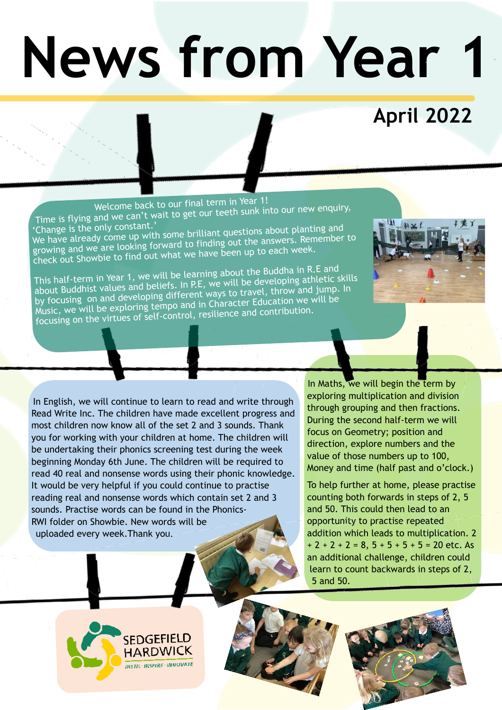## **News from Year 1**

## **April 2022**

 Welcome back to our final term in Year 1! Time is flying and we can't wait to get our teeth sunk into our new enquiry, This is it is the only constant.'<br>'Change is the only come up with some brilliant questions about planting and<br>We have already come up with some to finding out the answers. Remember

growing and we are looking forward to finding out the answers. Remember to check out Showbie to find out what we have been up to each week.

This half-term in Year 1, we will be learning about the Buddha in R.E and about Buddhist values and beliefs. In P.E, we will be developing athletic skills by focusing on and developing different ways to travel, throw and jump. In by focusing on and developing different ways to the Education we will be<br>Music, we will be exploring tempo and in Character Education we will be Music, we will be exploring temporation.<br>focusing on the virtues of self-control, resilience and contribution.



In Maths, we will begin the term by exploring multiplication and division through grouping and then fractions. During the second half-term we will focus on Geometry; position and direction, explore numbers and the value of those numbers up to 100, Money and time (half past and o'clock.)

To help further at home, please practise counting both forwards in steps of 2, 5 and 50. This could then lead to an opportunity to practise repeated addition which leads to multiplication. 2  $+ 2 + 2 + 2 = 8$ ,  $5 + 5 + 5 + 5 = 20$  etc. As an additional challenge, children could learn to count backwards in steps of 2, 5 and 50.